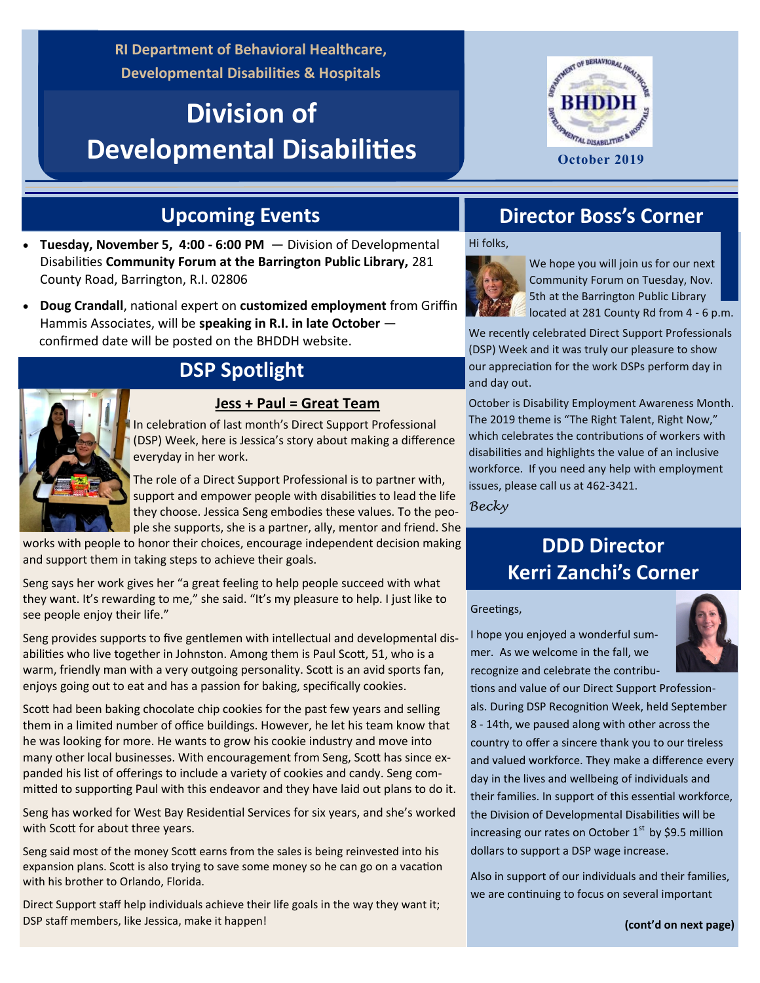**RI Department of Behavioral Healthcare, Developmental Disabilities & Hospitals**

# **Division of Developmental Disabilities**



## **Upcoming Events**

- **Tuesday, November 5, 4:00 - 6:00 PM**  Division of Developmental Disabilities **Community Forum at the Barrington Public Library,** 281 County Road, Barrington, R.I. 02806
- **Doug Crandall**, national expert on **customized employment** from Griffin Hammis Associates, will be **speaking in R.I. in late October**  confirmed date will be posted on the BHDDH website.

### **DSP Spotlight**

#### **Jess + Paul = Great Team**

In celebration of last month's Direct Support Professional (DSP) Week, here is Jessica's story about making a difference everyday in her work.

The role of a Direct Support Professional is to partner with, support and empower people with disabilities to lead the life they choose. Jessica Seng embodies these values. To the people she supports, she is a partner, ally, mentor and friend. She

works with people to honor their choices, encourage independent decision making and support them in taking steps to achieve their goals.

Seng says her work gives her "a great feeling to help people succeed with what they want. It's rewarding to me," she said. "It's my pleasure to help. I just like to see people enjoy their life."

Seng provides supports to five gentlemen with intellectual and developmental disabilities who live together in Johnston. Among them is Paul Scott, 51, who is a warm, friendly man with a very outgoing personality. Scott is an avid sports fan, enjoys going out to eat and has a passion for baking, specifically cookies.

Scott had been baking chocolate chip cookies for the past few years and selling them in a limited number of office buildings. However, he let his team know that he was looking for more. He wants to grow his cookie industry and move into many other local businesses. With encouragement from Seng, Scott has since expanded his list of offerings to include a variety of cookies and candy. Seng committed to supporting Paul with this endeavor and they have laid out plans to do it.

Seng has worked for West Bay Residential Services for six years, and she's worked with Scott for about three years.

Seng said most of the money Scott earns from the sales is being reinvested into his expansion plans. Scott is also trying to save some money so he can go on a vacation with his brother to Orlando, Florida.

Direct Support staff help individuals achieve their life goals in the way they want it; DSP staff members, like Jessica, make it happen!

### **Director Boss's Corner**

Hi folks,



We hope you will join us for our next Community Forum on Tuesday, Nov. 5th at the Barrington Public Library located at 281 County Rd from 4 - 6 p.m.

We recently celebrated Direct Support Professionals (DSP) Week and it was truly our pleasure to show our appreciation for the work DSPs perform day in and day out.

October is Disability Employment Awareness Month. The 2019 theme is "The Right Talent, Right Now," which celebrates the contributions of workers with disabilities and highlights the value of an inclusive workforce. If you need any help with employment issues, please call us at 462-3421.

*Becky*

## **DDD Director Kerri Zanchi's Corner**

#### Greetings,

I hope you enjoyed a wonderful summer. As we welcome in the fall, we recognize and celebrate the contribu-



tions and value of our Direct Support Professionals. During DSP Recognition Week, held September 8 - 14th, we paused along with other across the country to offer a sincere thank you to our tireless and valued workforce. They make a difference every day in the lives and wellbeing of individuals and their families. In support of this essential workforce, the Division of Developmental Disabilities will be increasing our rates on October  $1<sup>st</sup>$  by \$9.5 million dollars to support a DSP wage increase.

Also in support of our individuals and their families, we are continuing to focus on several important